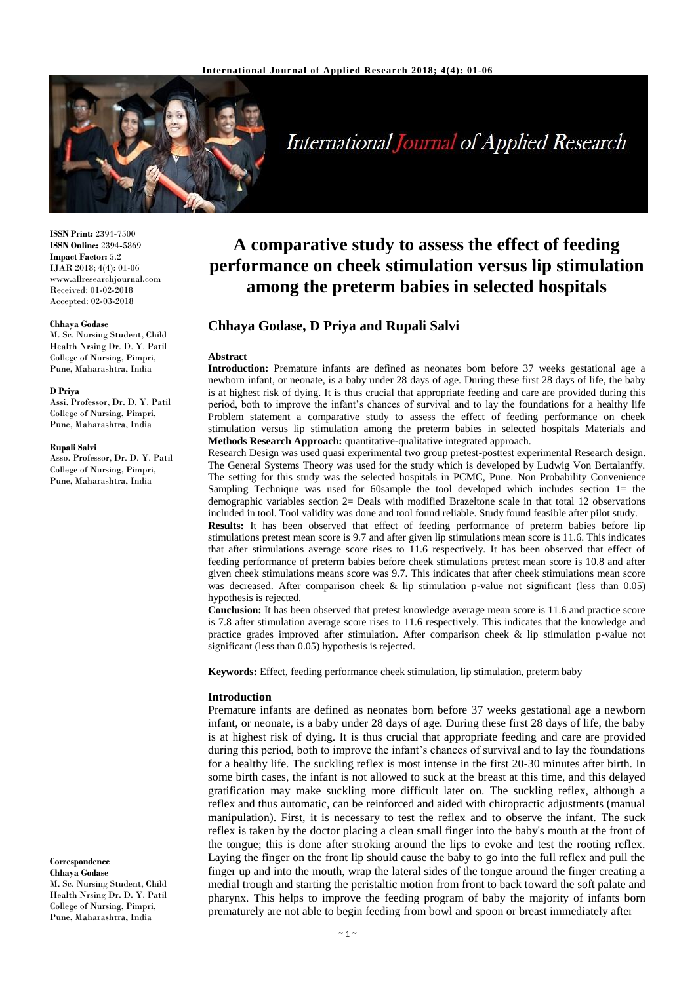

# **International Journal of Applied Research**

**ISSN Print:** 2394**-**7500 **ISSN Online:** 2394**-**5869 **Impact Factor:** 5.2 IJAR 2018; 4(4): 01-06 www.allresearchjournal.com Received: 01-02-2018 Accepted: 02-03-2018

#### **Chhaya Godase**

M. Sc. Nursing Student, Child Health Nrsing Dr. D. Y. Patil College of Nursing, Pimpri, Pune, Maharashtra, India

#### **D Priya**

Assi. Professor, Dr. D. Y. Patil College of Nursing, Pimpri, Pune, Maharashtra, India

#### **Rupali Salvi**

Asso. Professor, Dr. D. Y. Patil College of Nursing, Pimpri, Pune, Maharashtra, India

**Correspondence Chhaya Godase**

M. Sc. Nursing Student, Child Health Nrsing Dr. D. Y. Patil College of Nursing, Pimpri, Pune, Maharashtra, India

## **A comparative study to assess the effect of feeding performance on cheek stimulation versus lip stimulation among the preterm babies in selected hospitals**

## **Chhaya Godase, D Priya and Rupali Salvi**

#### **Abstract**

**Introduction:** Premature infants are defined as neonates born before 37 weeks gestational age a newborn infant, or neonate, is a baby under 28 days of age. During these first 28 days of life, the baby is at highest risk of dying. It is thus crucial that appropriate feeding and care are provided during this period, both to improve the infant's chances of survival and to lay the foundations for a healthy life Problem statement a comparative study to assess the effect of feeding performance on cheek stimulation versus lip stimulation among the preterm babies in selected hospitals Materials and **Methods Research Approach:** quantitative**-**qualitative integrated approach.

Research Design was used quasi experimental two group pretest**-**posttest experimental Research design. The General Systems Theory was used for the study which is developed by Ludwig Von Bertalanffy. The setting for this study was the selected hospitals in PCMC, Pune. Non Probability Convenience Sampling Technique was used for 60sample the tool developed which includes section 1= the demographic variables section 2= Deals with modified Brazeltone scale in that total 12 observations included in tool. Tool validity was done and tool found reliable. Study found feasible after pilot study.

**Results:** It has been observed that effect of feeding performance of preterm babies before lip stimulations pretest mean score is 9.7 and after given lip stimulations mean score is 11.6. This indicates that after stimulations average score rises to 11.6 respectively. It has been observed that effect of feeding performance of preterm babies before cheek stimulations pretest mean score is 10.8 and after given cheek stimulations means score was 9.7. This indicates that after cheek stimulations mean score was decreased. After comparison cheek & lip stimulation p**-**value not significant (less than 0.05) hypothesis is rejected.

**Conclusion:** It has been observed that pretest knowledge average mean score is 11.6 and practice score is 7.8 after stimulation average score rises to 11.6 respectively. This indicates that the knowledge and practice grades improved after stimulation. After comparison cheek & lip stimulation p**-**value not significant (less than 0.05) hypothesis is rejected.

**Keywords:** Effect, feeding performance cheek stimulation, lip stimulation, preterm baby

#### **Introduction**

Premature infants are defined as neonates born before 37 weeks gestational age a newborn infant, or neonate, is a baby under 28 days of age. During these first 28 days of life, the baby is at highest risk of dying. It is thus crucial that appropriate feeding and care are provided during this period, both to improve the infant's chances of survival and to lay the foundations for a healthy life. The suckling reflex is most intense in the first 20**-**30 minutes after birth. In some birth cases, the infant is not allowed to suck at the breast at this time, and this delayed gratification may make suckling more difficult later on. The suckling reflex, although a reflex and thus automatic, can be reinforced and aided with chiropractic adjustments (manual manipulation). First, it is necessary to test the reflex and to observe the infant. The suck reflex is taken by the doctor placing a clean small finger into the baby's mouth at the front of the tongue; this is done after stroking around the lips to evoke and test the rooting reflex. Laying the finger on the front lip should cause the baby to go into the full reflex and pull the finger up and into the mouth, wrap the lateral sides of the tongue around the finger creating a medial trough and starting the peristaltic motion from front to back toward the soft palate and pharynx. This helps to improve the feeding program of baby the majority of infants born prematurely are not able to begin feeding from bowl and spoon or breast immediately after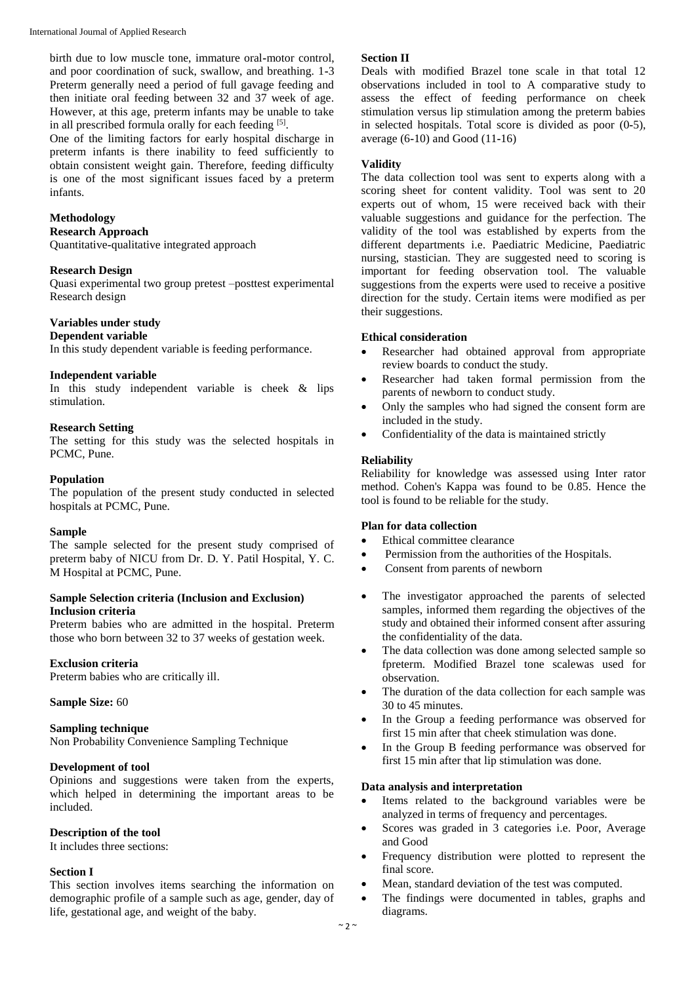birth due to low muscle tone, immature oral**-**motor control, and poor coordination of suck, swallow, and breathing. 1**-**3 Preterm generally need a period of full gavage feeding and then initiate oral feeding between 32 and 37 week of age. However, at this age, preterm infants may be unable to take in all prescribed formula orally for each feeding [5].

One of the limiting factors for early hospital discharge in preterm infants is there inability to feed sufficiently to obtain consistent weight gain. Therefore, feeding difficulty is one of the most significant issues faced by a preterm infants.

## **Methodology**

## **Research Approach**

Quantitative**-**qualitative integrated approach

## **Research Design**

Quasi experimental two group pretest –posttest experimental Research design

## **Variables under study**

#### **Dependent variable**

In this study dependent variable is feeding performance.

## **Independent variable**

In this study independent variable is cheek & lips stimulation.

## **Research Setting**

The setting for this study was the selected hospitals in PCMC, Pune.

## **Population**

The population of the present study conducted in selected hospitals at PCMC, Pune.

#### **Sample**

The sample selected for the present study comprised of preterm baby of NICU from Dr. D. Y. Patil Hospital, Y. C. M Hospital at PCMC, Pune.

## **Sample Selection criteria (Inclusion and Exclusion) Inclusion criteria**

Preterm babies who are admitted in the hospital. Preterm those who born between 32 to 37 weeks of gestation week.

## **Exclusion criteria**

Preterm babies who are critically ill.

## **Sample Size:** 60

## **Sampling technique**

Non Probability Convenience Sampling Technique

## **Development of tool**

Opinions and suggestions were taken from the experts, which helped in determining the important areas to be included.

## **Description of the tool**

It includes three sections:

## **Section I**

This section involves items searching the information on demographic profile of a sample such as age, gender, day of life, gestational age, and weight of the baby.

## **Section II**

Deals with modified Brazel tone scale in that total 12 observations included in tool to A comparative study to assess the effect of feeding performance on cheek stimulation versus lip stimulation among the preterm babies in selected hospitals. Total score is divided as poor (0**-**5), average (6**-**10) and Good (11**-**16)

## **Validity**

The data collection tool was sent to experts along with a scoring sheet for content validity. Tool was sent to 20 experts out of whom, 15 were received back with their valuable suggestions and guidance for the perfection. The validity of the tool was established by experts from the different departments i.e. Paediatric Medicine, Paediatric nursing, stastician. They are suggested need to scoring is important for feeding observation tool. The valuable suggestions from the experts were used to receive a positive direction for the study. Certain items were modified as per their suggestions.

## **Ethical consideration**

- Researcher had obtained approval from appropriate review boards to conduct the study.
- Researcher had taken formal permission from the parents of newborn to conduct study.
- Only the samples who had signed the consent form are included in the study.
- Confidentiality of the data is maintained strictly

## **Reliability**

Reliability for knowledge was assessed using Inter rator method. Cohen's Kappa was found to be 0.85. Hence the tool is found to be reliable for the study.

## **Plan for data collection**

- Ethical committee clearance
- Permission from the authorities of the Hospitals.
- Consent from parents of newborn
- The investigator approached the parents of selected samples, informed them regarding the objectives of the study and obtained their informed consent after assuring the confidentiality of the data.
- The data collection was done among selected sample so fpreterm. Modified Brazel tone scalewas used for observation.
- The duration of the data collection for each sample was 30 to 45 minutes.
- In the Group a feeding performance was observed for first 15 min after that cheek stimulation was done.
- In the Group B feeding performance was observed for first 15 min after that lip stimulation was done.

## **Data analysis and interpretation**

- Items related to the background variables were be analyzed in terms of frequency and percentages.
- Scores was graded in 3 categories i.e. Poor, Average and Good
- Frequency distribution were plotted to represent the final score.
- Mean, standard deviation of the test was computed.
- The findings were documented in tables, graphs and diagrams.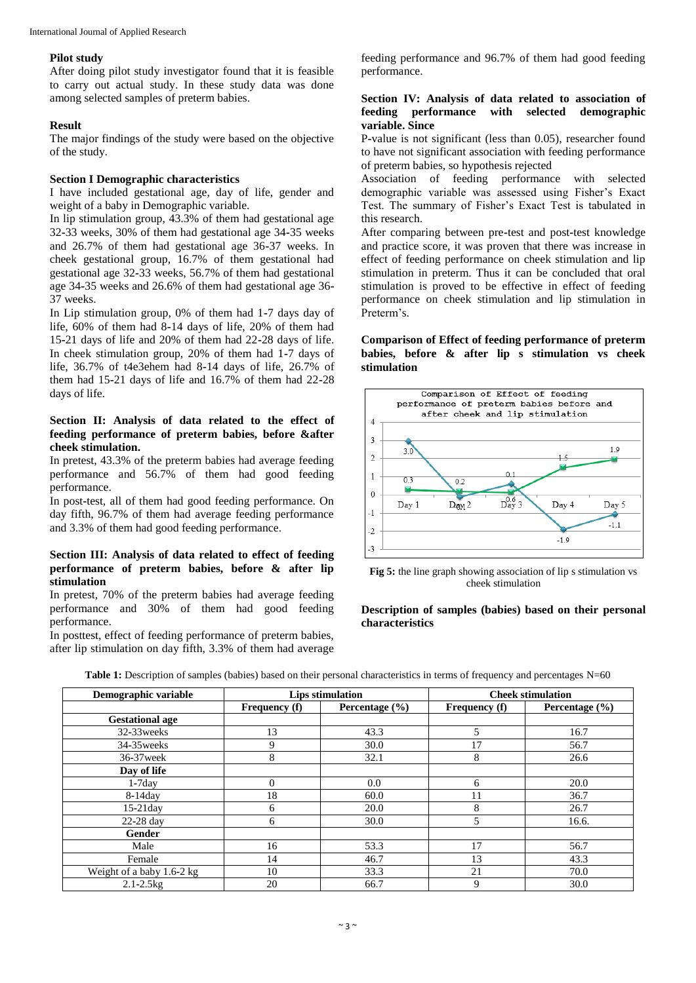## **Pilot study**

After doing pilot study investigator found that it is feasible to carry out actual study. In these study data was done among selected samples of preterm babies.

## **Result**

The major findings of the study were based on the objective of the study.

## **Section I Demographic characteristics**

I have included gestational age, day of life, gender and weight of a baby in Demographic variable.

In lip stimulation group, 43.3% of them had gestational age 32**-**33 weeks, 30% of them had gestational age 34**-**35 weeks and 26.7% of them had gestational age 36**-**37 weeks. In cheek gestational group, 16.7% of them gestational had gestational age 32**-**33 weeks, 56.7% of them had gestational age 34**-**35 weeks and 26.6% of them had gestational age 36**-** 37 weeks.

In Lip stimulation group, 0% of them had 1**-**7 days day of life, 60% of them had 8**-**14 days of life, 20% of them had 15**-**21 days of life and 20% of them had 22**-**28 days of life. In cheek stimulation group, 20% of them had 1**-**7 days of life, 36.7% of t4e3ehem had 8**-**14 days of life, 26.7% of them had 15**-**21 days of life and 16.7% of them had 22**-**28 days of life.

## **Section II: Analysis of data related to the effect of feeding performance of preterm babies, before &after cheek stimulation.**

In pretest, 43.3% of the preterm babies had average feeding performance and 56.7% of them had good feeding performance.

In post**-**test, all of them had good feeding performance. On day fifth, 96.7% of them had average feeding performance and 3.3% of them had good feeding performance.

## **Section III: Analysis of data related to effect of feeding performance of preterm babies, before & after lip stimulation**

In pretest, 70% of the preterm babies had average feeding performance and 30% of them had good feeding performance.

In posttest, effect of feeding performance of preterm babies, after lip stimulation on day fifth, 3.3% of them had average

feeding performance and 96.7% of them had good feeding performance.

## **Section IV: Analysis of data related to association of feeding performance with selected demographic variable. Since**

P**-**value is not significant (less than 0.05), researcher found to have not significant association with feeding performance of preterm babies, so hypothesis rejected

Association of feeding performance with selected demographic variable was assessed using Fisher's Exact Test. The summary of Fisher's Exact Test is tabulated in this research.

After comparing between pre**-**test and post**-**test knowledge and practice score, it was proven that there was increase in effect of feeding performance on cheek stimulation and lip stimulation in preterm. Thus it can be concluded that oral stimulation is proved to be effective in effect of feeding performance on cheek stimulation and lip stimulation in Preterm's.

## **Comparison of Effect of feeding performance of preterm babies, before & after lip s stimulation vs cheek stimulation**



**Fig 5:** the line graph showing association of lip s stimulation vs cheek stimulation

## **Description of samples (babies) based on their personal characteristics**

| Demographic variable      | Lips stimulation     |                    | <b>Cheek stimulation</b> |                    |
|---------------------------|----------------------|--------------------|--------------------------|--------------------|
|                           | <b>Frequency</b> (f) | Percentage $(\% )$ | <b>Frequency</b> (f)     | Percentage $(\% )$ |
| <b>Gestational age</b>    |                      |                    |                          |                    |
| 32-33 weeks               | 13                   | 43.3               | 5                        | 16.7               |
| 34-35 weeks               | 9                    | 30.0               | 17                       | 56.7               |
| 36-37 week                | 8                    | 32.1               | 8                        | 26.6               |
| Day of life               |                      |                    |                          |                    |
| $1 - 7day$                | $\Omega$             | 0.0                | 6                        | 20.0               |
| 8-14day                   | 18                   | 60.0               | 11                       | 36.7               |
| $15-21day$                | 6                    | 20.0               | 8                        | 26.7               |
| 22-28 day                 | 6                    | 30.0               | 5                        | 16.6.              |
| Gender                    |                      |                    |                          |                    |
| Male                      | 16                   | 53.3               | 17                       | 56.7               |
| Female                    | 14                   | 46.7               | 13                       | 43.3               |
| Weight of a baby 1.6-2 kg | 10                   | 33.3               | 21                       | 70.0               |
| $2.1 - 2.5$ kg            | 20                   | 66.7               | 9                        | 30.0               |

**Table 1:** Description of samples (babies) based on their personal characteristics in terms of frequency and percentages N=60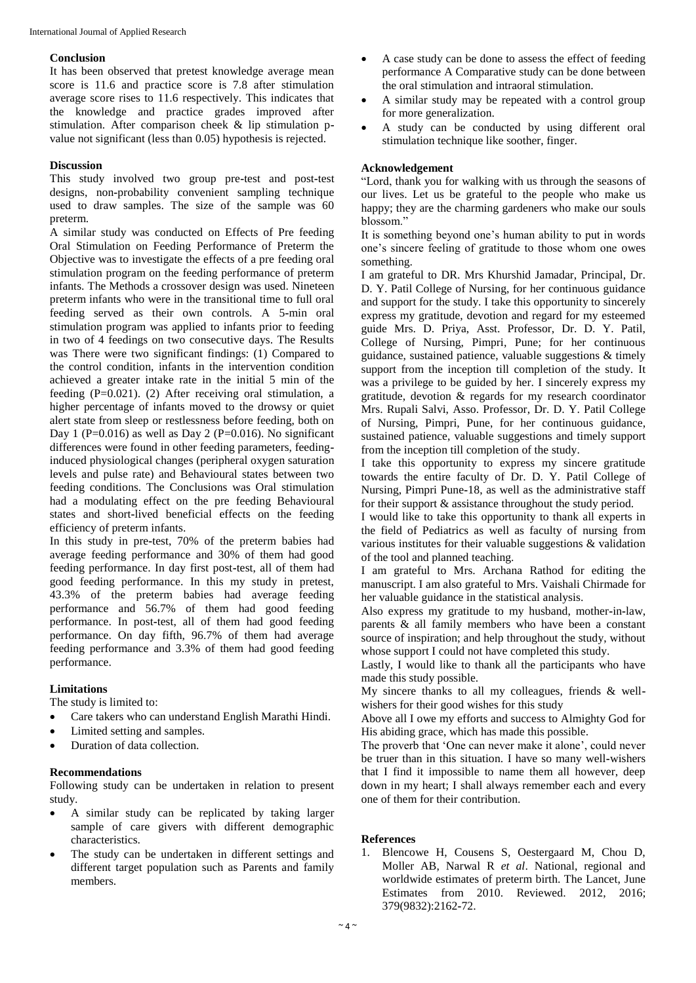## **Conclusion**

It has been observed that pretest knowledge average mean score is 11.6 and practice score is 7.8 after stimulation average score rises to 11.6 respectively. This indicates that the knowledge and practice grades improved after stimulation. After comparison cheek & lip stimulation pvalue not significant (less than 0.05) hypothesis is rejected.

## **Discussion**

This study involved two group pre**-**test and post**-**test designs, non**-**probability convenient sampling technique used to draw samples. The size of the sample was 60 preterm.

A similar study was conducted on Effects of Pre feeding Oral Stimulation on Feeding Performance of Preterm the Objective was to investigate the effects of a pre feeding oral stimulation program on the feeding performance of preterm infants. The Methods a crossover design was used. Nineteen preterm infants who were in the transitional time to full oral feeding served as their own controls. A 5**-**min oral stimulation program was applied to infants prior to feeding in two of 4 feedings on two consecutive days. The Results was There were two significant findings: (1) Compared to the control condition, infants in the intervention condition achieved a greater intake rate in the initial 5 min of the feeding (P=0.021). (2) After receiving oral stimulation, a higher percentage of infants moved to the drowsy or quiet alert state from sleep or restlessness before feeding, both on Day 1 (P=0.016) as well as Day 2 (P=0.016). No significant differences were found in other feeding parameters, feedinginduced physiological changes (peripheral oxygen saturation levels and pulse rate) and Behavioural states between two feeding conditions. The Conclusions was Oral stimulation had a modulating effect on the pre feeding Behavioural states and short**-**lived beneficial effects on the feeding efficiency of preterm infants.

In this study in pre**-**test, 70% of the preterm babies had average feeding performance and 30% of them had good feeding performance. In day first post**-**test, all of them had good feeding performance. In this my study in pretest, 43.3% of the preterm babies had average feeding performance and 56.7% of them had good feeding performance. In post**-**test, all of them had good feeding performance. On day fifth, 96.7% of them had average feeding performance and 3.3% of them had good feeding performance.

## **Limitations**

The study is limited to:

- Care takers who can understand English Marathi Hindi.
- Limited setting and samples.
- Duration of data collection.

## **Recommendations**

Following study can be undertaken in relation to present study.

- A similar study can be replicated by taking larger sample of care givers with different demographic characteristics.
- The study can be undertaken in different settings and different target population such as Parents and family members.
- A case study can be done to assess the effect of feeding performance A Comparative study can be done between the oral stimulation and intraoral stimulation.
- A similar study may be repeated with a control group for more generalization.
- A study can be conducted by using different oral stimulation technique like soother, finger.

## **Acknowledgement**

"Lord, thank you for walking with us through the seasons of our lives. Let us be grateful to the people who make us happy; they are the charming gardeners who make our souls blossom."

It is something beyond one's human ability to put in words one's sincere feeling of gratitude to those whom one owes something.

I am grateful to DR. Mrs Khurshid Jamadar, Principal, Dr. D. Y. Patil College of Nursing, for her continuous guidance and support for the study. I take this opportunity to sincerely express my gratitude, devotion and regard for my esteemed guide Mrs. D. Priya, Asst. Professor, Dr. D. Y. Patil, College of Nursing, Pimpri, Pune; for her continuous guidance, sustained patience, valuable suggestions & timely support from the inception till completion of the study. It was a privilege to be guided by her. I sincerely express my gratitude, devotion & regards for my research coordinator Mrs. Rupali Salvi, Asso. Professor, Dr. D. Y. Patil College of Nursing, Pimpri, Pune, for her continuous guidance, sustained patience, valuable suggestions and timely support from the inception till completion of the study.

I take this opportunity to express my sincere gratitude towards the entire faculty of Dr. D. Y. Patil College of Nursing, Pimpri Pune**-**18, as well as the administrative staff for their support & assistance throughout the study period.

I would like to take this opportunity to thank all experts in the field of Pediatrics as well as faculty of nursing from various institutes for their valuable suggestions & validation of the tool and planned teaching.

I am grateful to Mrs. Archana Rathod for editing the manuscript. I am also grateful to Mrs. Vaishali Chirmade for her valuable guidance in the statistical analysis.

Also express my gratitude to my husband, mother**-**in**-**law, parents & all family members who have been a constant source of inspiration; and help throughout the study, without whose support I could not have completed this study.

Lastly, I would like to thank all the participants who have made this study possible.

My sincere thanks to all my colleagues, friends & wellwishers for their good wishes for this study

Above all I owe my efforts and success to Almighty God for His abiding grace, which has made this possible.

The proverb that 'One can never make it alone', could never be truer than in this situation. I have so many well**-**wishers that I find it impossible to name them all however, deep down in my heart; I shall always remember each and every one of them for their contribution.

## **References**

1. Blencowe H, Cousens S, Oestergaard M, Chou D, Moller AB, Narwal R *et al*. National, regional and worldwide estimates of preterm birth. The Lancet, June Estimates from 2010. Reviewed. 2012, 2016; 379(9832):2162**-**72.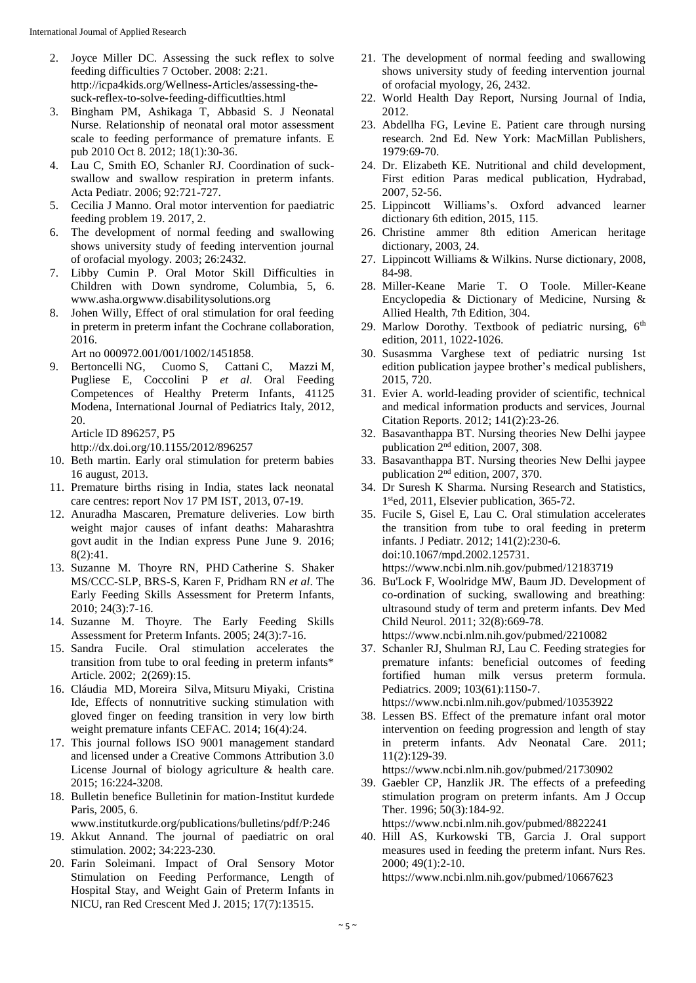- 2. Joyce Miller DC. Assessing the suck reflex to solve feeding difficulties 7 October. 2008: 2:21. http://icpa4kids.org/Wellness**-**Articles/assessing**-**thesuck**-**reflex**-**to**-**solve**-**feeding**-**difficutlties.html
- 3. Bingham PM, Ashikaga T, Abbasid S. J Neonatal Nurse. Relationship of neonatal oral motor assessment scale to feeding performance of premature infants. E pub 2010 Oct 8. 2012; 18(1):30**-**36.
- 4. Lau C, Smith EO, Schanler RJ. Coordination of suckswallow and swallow respiration in preterm infants. Acta Pediatr. 2006; 92:721**-**727.
- 5. Cecilia J Manno. Oral motor intervention for paediatric feeding problem 19. 2017, 2.
- 6. The development of normal feeding and swallowing shows university study of feeding intervention journal of orofacial myology. 2003; 26:2432.
- 7. Libby Cumin P. Oral Motor Skill Difficulties in Children with Down syndrome, Columbia, 5, 6. www.asha.orgwww.disabilitysolutions.org
- 8. Johen Willy, Effect of oral stimulation for oral feeding in preterm in preterm infant the Cochrane collaboration, 2016.

Art no 000972.001/001/1002/1451858.

9. Bertoncelli NG, Cuomo S, Cattani C, Mazzi M, Pugliese E, Coccolini P *et al*. Oral Feeding Competences of Healthy Preterm Infants, 41125 Modena, International Journal of Pediatrics Italy, 2012, 20.

Article ID 896257, P5

http://dx.doi.org/10.1155/2012/896257

- 10. Beth martin. Early oral stimulation for preterm babies 16 august, 2013.
- 11. Premature births rising in India, states lack neonatal care centres: report Nov 17 PM IST, 2013, 07**-**19.
- 12. Anuradha Mascaren, Premature deliveries. Low birth weight major causes of infant deaths: Maharashtra govt audit in the Indian express Pune June 9. 2016; 8(2):41.
- 13. Suzanne M. Thoyre RN, PHD Catherine S. Shaker MS/CCC**-**SLP, BRS**-**S, Karen F, Pridham RN *et al*. The Early Feeding Skills Assessment for Preterm Infants, 2010; 24(3):7**-**16.
- 14. Suzanne M. Thoyre. The Early Feeding Skills Assessment for Preterm Infants. 2005; 24(3):7**-**16.
- 15. Sandra Fucile. Oral stimulation accelerates the transition from tube to oral feeding in preterm infants\* Article. 2002; 2(269):15.
- 16. Cláudia MD, Moreira Silva, Mitsuru Miyaki, Cristina Ide, Effects of nonnutritive sucking stimulation with gloved finger on feeding transition in very low birth weight premature infants CEFAC. 2014; 16(4):24.
- 17. This journal follows ISO 9001 management standard and licensed under a Creative Commons Attribution 3.0 License Journal of biology agriculture & health care. 2015; 16:224**-**3208.
- 18. Bulletin benefice Bulletinin for mation**-**Institut kurdede Paris, 2005, 6.

www.institutkurde.org/publications/bulletins/pdf/P:246

- 19. Akkut Annand. The journal of paediatric on oral stimulation. 2002; 34:223**-**230.
- 20. Farin Soleimani. Impact of Oral Sensory Motor Stimulation on Feeding Performance, Length of Hospital Stay, and Weight Gain of Preterm Infants in NICU, ran Red Crescent Med J. 2015; 17(7):13515.
- 21. The development of normal feeding and swallowing shows university study of feeding intervention journal of orofacial myology, 26, 2432.
- 22. World Health Day Report, Nursing Journal of India, 2012.
- 23. Abdellha FG, Levine E. Patient care through nursing research. 2nd Ed. New York: MacMillan Publishers, 1979:69**-**70.
- 24. Dr. Elizabeth KE. Nutritional and child development, First edition Paras medical publication, Hydrabad, 2007, 52**-**56.
- 25. Lippincott Williams's. Oxford advanced learner dictionary 6th edition, 2015, 115.
- 26. Christine ammer 8th edition American heritage dictionary, 2003, 24.
- 27. Lippincott Williams & Wilkins. Nurse dictionary, 2008, 84**-**98.
- 28. Miller**-**Keane Marie T. O Toole. Miller**-**Keane Encyclopedia & Dictionary of Medicine, Nursing & Allied Health, 7th Edition, 304.
- 29. Marlow Dorothy. Textbook of pediatric nursing,  $6<sup>th</sup>$ edition, 2011, 1022**-**1026.
- 30. Susasmma Varghese text of pediatric nursing 1st edition publication jaypee brother's medical publishers, 2015, 720.
- 31. Evier A. world**-**leading provider of scientific, technical and medical information products and services, Journal Citation Reports. 2012; 141(2):23**-**26.
- 32. Basavanthappa BT. Nursing theories New Delhi jaypee publication  $2<sup>nd</sup>$  edition, 2007, 308.
- 33. Basavanthappa BT. Nursing theories New Delhi jaypee publication  $2<sup>nd</sup>$  edition, 2007, 370.
- 34. Dr Suresh K Sharma. Nursing Research and Statistics, 1 sted, 2011, Elsevier publication, 365**-**72.
- 35. Fucile S, Gisel E, Lau C. Oral stimulation accelerates the transition from tube to oral feeding in preterm infants. J Pediatr. 2012; 141(2):230**-**6. doi:10.1067/mpd.2002.125731. https://www.ncbi.nlm.nih.gov/pubmed/12183719
- 36. Bu'Lock F, Woolridge MW, Baum JD. Development of co**-**ordination of sucking, swallowing and breathing: ultrasound study of term and preterm infants. Dev Med Child Neurol. 2011; 32(8):669**-**78. https://www.ncbi.nlm.nih.gov/pubmed/2210082
- 37. Schanler RJ, Shulman RJ, Lau C. Feeding strategies for premature infants: beneficial outcomes of feeding fortified human milk versus preterm formula. Pediatrics. 2009; 103(61):1150**-**7. https://www.ncbi.nlm.nih.gov/pubmed/10353922

38. Lessen BS. Effect of the premature infant oral motor intervention on feeding progression and length of stay in preterm infants. Adv Neonatal Care. 2011; 11(2):129**-**39.

https://www.ncbi.nlm.nih.gov/pubmed/21730902

39. Gaebler CP, Hanzlik JR. The effects of a prefeeding stimulation program on preterm infants. Am J Occup Ther. 1996; 50(3):184**-**92.

https://www.ncbi.nlm.nih.gov/pubmed/8822241

40. Hill AS, Kurkowski TB, Garcia J. Oral support measures used in feeding the preterm infant. Nurs Res. 2000; 49(1):2**-**10. https://www.ncbi.nlm.nih.gov/pubmed/10667623